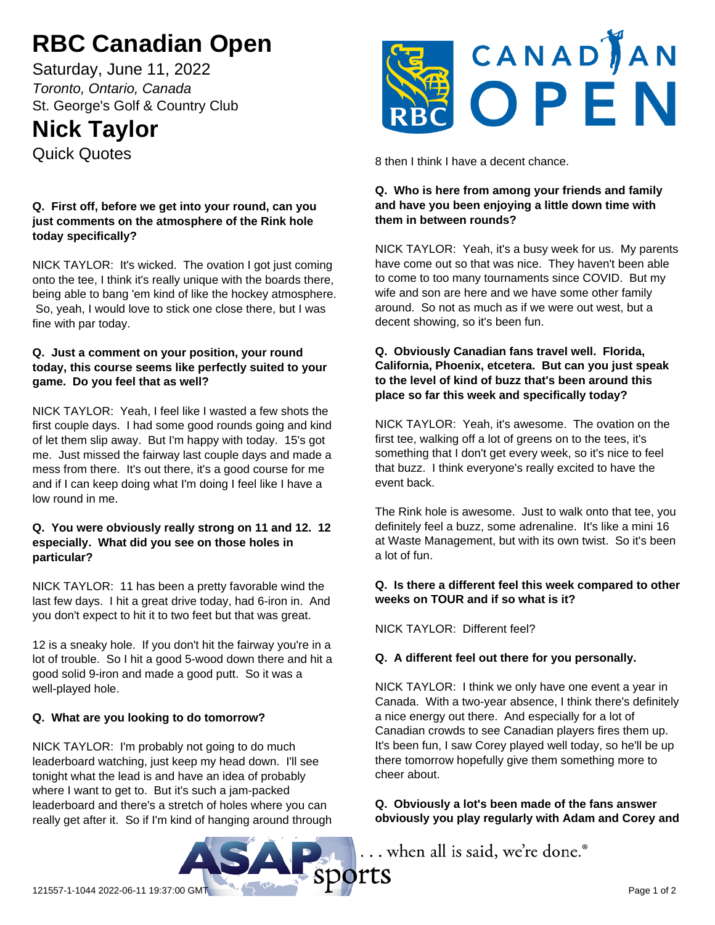# **RBC Canadian Open**

Saturday, June 11, 2022 *Toronto, Ontario, Canada* St. George's Golf & Country Club

## **Nick Taylor**

Quick Quotes

#### **Q. First off, before we get into your round, can you just comments on the atmosphere of the Rink hole today specifically?**

NICK TAYLOR: It's wicked. The ovation I got just coming onto the tee, I think it's really unique with the boards there, being able to bang 'em kind of like the hockey atmosphere. So, yeah, I would love to stick one close there, but I was fine with par today.

#### **Q. Just a comment on your position, your round today, this course seems like perfectly suited to your game. Do you feel that as well?**

NICK TAYLOR: Yeah, I feel like I wasted a few shots the first couple days. I had some good rounds going and kind of let them slip away. But I'm happy with today. 15's got me. Just missed the fairway last couple days and made a mess from there. It's out there, it's a good course for me and if I can keep doing what I'm doing I feel like I have a low round in me.

#### **Q. You were obviously really strong on 11 and 12. 12 especially. What did you see on those holes in particular?**

NICK TAYLOR: 11 has been a pretty favorable wind the last few days. I hit a great drive today, had 6-iron in. And you don't expect to hit it to two feet but that was great.

12 is a sneaky hole. If you don't hit the fairway you're in a lot of trouble. So I hit a good 5-wood down there and hit a good solid 9-iron and made a good putt. So it was a well-played hole.

### **Q. What are you looking to do tomorrow?**

NICK TAYLOR: I'm probably not going to do much leaderboard watching, just keep my head down. I'll see tonight what the lead is and have an idea of probably where I want to get to. But it's such a jam-packed leaderboard and there's a stretch of holes where you can really get after it. So if I'm kind of hanging around through



8 then I think I have a decent chance.

#### **Q. Who is here from among your friends and family and have you been enjoying a little down time with them in between rounds?**

NICK TAYLOR: Yeah, it's a busy week for us. My parents have come out so that was nice. They haven't been able to come to too many tournaments since COVID. But my wife and son are here and we have some other family around. So not as much as if we were out west, but a decent showing, so it's been fun.

#### **Q. Obviously Canadian fans travel well. Florida, California, Phoenix, etcetera. But can you just speak to the level of kind of buzz that's been around this place so far this week and specifically today?**

NICK TAYLOR: Yeah, it's awesome. The ovation on the first tee, walking off a lot of greens on to the tees, it's something that I don't get every week, so it's nice to feel that buzz. I think everyone's really excited to have the event back.

The Rink hole is awesome. Just to walk onto that tee, you definitely feel a buzz, some adrenaline. It's like a mini 16 at Waste Management, but with its own twist. So it's been a lot of fun.

#### **Q. Is there a different feel this week compared to other weeks on TOUR and if so what is it?**

NICK TAYLOR: Different feel?

#### **Q. A different feel out there for you personally.**

NICK TAYLOR: I think we only have one event a year in Canada. With a two-year absence, I think there's definitely a nice energy out there. And especially for a lot of Canadian crowds to see Canadian players fires them up. It's been fun, I saw Corey played well today, so he'll be up there tomorrow hopefully give them something more to cheer about.

**Q. Obviously a lot's been made of the fans answer obviously you play regularly with Adam and Corey and**

... when all is said, we're done.<sup>®</sup>